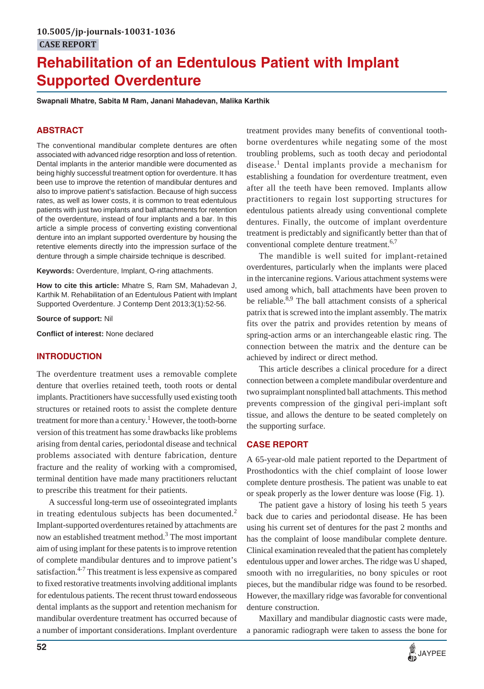# **Rehabilitation of an Edentulous Patient with Implant Supported Overdenture**

**Swapnali Mhatre, Sabita M Ram, Janani Mahadevan, Malika Karthik**

#### **ABSTRACT**

The conventional mandibular complete dentures are often associated with advanced ridge resorption and loss of retention. Dental implants in the anterior mandible were documented as being highly successful treatment option for overdenture. It has been use to improve the retention of mandibular dentures and also to improve patient's satisfaction. Because of high success rates, as well as lower costs, it is common to treat edentulous patients with just two implants and ball attachments for retention of the overdenture, instead of four implants and a bar. In this article a simple process of converting existing conventional denture into an implant supported overdenture by housing the retentive elements directly into the impression surface of the denture through a simple chairside technique is described.

**Keywords:** Overdenture, Implant, O-ring attachments.

**How to cite this article:** Mhatre S, Ram SM, Mahadevan J, Karthik M. Rehabilitation of an Edentulous Patient with Implant Supported Overdenture. J Contemp Dent 2013;3(1):52-56.

**Source of support:** Nil

**Conflict of interest:** None declared

#### **INTRODUCTION**

The overdenture treatment uses a removable complete denture that overlies retained teeth, tooth roots or dental implants. Practitioners have successfully used existing tooth structures or retained roots to assist the complete denture treatment for more than a century.<sup>1</sup> However, the tooth-borne version of this treatment has some drawbacks like problems arising from dental caries, periodontal disease and technical problems associated with denture fabrication, denture fracture and the reality of working with a compromised, terminal dentition have made many practitioners reluctant to prescribe this treatment for their patients.

A successful long-term use of osseointegrated implants in treating edentulous subjects has been documented.<sup>2</sup> Implant-supported overdentures retained by attachments are now an established treatment method.<sup>3</sup> The most important aim of using implant for these patents is to improve retention of complete mandibular dentures and to improve patient's satisfaction.<sup>4-7</sup> This treatment is less expensive as compared to fixed restorative treatments involving additional implants for edentulous patients. The recent thrust toward endosseous dental implants as the support and retention mechanism for mandibular overdenture treatment has occurred because of a number of important considerations. Implant overdenture

treatment provides many benefits of conventional toothborne overdentures while negating some of the most troubling problems, such as tooth decay and periodontal disease.<sup>1</sup> Dental implants provide a mechanism for establishing a foundation for overdenture treatment, even after all the teeth have been removed. Implants allow practitioners to regain lost supporting structures for edentulous patients already using conventional complete dentures. Finally, the outcome of implant overdenture treatment is predictably and significantly better than that of conventional complete denture treatment.<sup>6,7</sup>

The mandible is well suited for implant-retained overdentures, particularly when the implants were placed in the intercanine regions. Various attachment systems were used among which, ball attachments have been proven to be reliable.<sup>8,9</sup> The ball attachment consists of a spherical patrix that is screwed into the implant assembly. The matrix fits over the patrix and provides retention by means of spring-action arms or an interchangeable elastic ring. The connection between the matrix and the denture can be achieved by indirect or direct method.

This article describes a clinical procedure for a direct connection between a complete mandibular overdenture and two supraimplant nonsplinted ball attachments. This method prevents compression of the gingival peri-implant soft tissue, and allows the denture to be seated completely on the supporting surface.

#### **CASE REPORT**

A 65-year-old male patient reported to the Department of Prosthodontics with the chief complaint of loose lower complete denture prosthesis. The patient was unable to eat or speak properly as the lower denture was loose (Fig. 1).

The patient gave a history of losing his teeth 5 years back due to caries and periodontal disease. He has been using his current set of dentures for the past 2 months and has the complaint of loose mandibular complete denture. Clinical examination revealed that the patient has completely edentulous upper and lower arches. The ridge was U shaped, smooth with no irregularities, no bony spicules or root pieces, but the mandibular ridge was found to be resorbed. However, the maxillary ridge was favorable for conventional denture construction.

Maxillary and mandibular diagnostic casts were made, a panoramic radiograph were taken to assess the bone for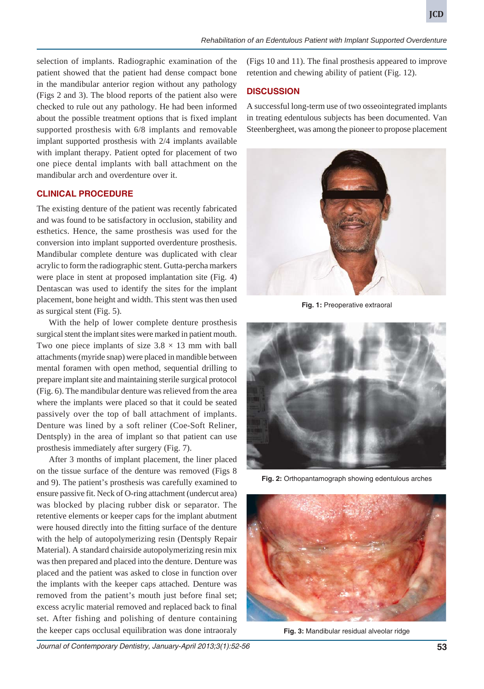selection of implants. Radiographic examination of the patient showed that the patient had dense compact bone in the mandibular anterior region without any pathology (Figs 2 and 3). The blood reports of the patient also were checked to rule out any pathology. He had been informed about the possible treatment options that is fixed implant supported prosthesis with 6/8 implants and removable implant supported prosthesis with 2/4 implants available with implant therapy. Patient opted for placement of two one piece dental implants with ball attachment on the mandibular arch and overdenture over it.

#### **CLINICAL PROCEDURE**

The existing denture of the patient was recently fabricated and was found to be satisfactory in occlusion, stability and esthetics. Hence, the same prosthesis was used for the conversion into implant supported overdenture prosthesis. Mandibular complete denture was duplicated with clear acrylic to form the radiographic stent. Gutta-percha markers were place in stent at proposed implantation site (Fig. 4) Dentascan was used to identify the sites for the implant placement, bone height and width. This stent was then used as surgical stent (Fig. 5).

With the help of lower complete denture prosthesis surgical stent the implant sites were marked in patient mouth. Two one piece implants of size  $3.8 \times 13$  mm with ball attachments (myride snap) were placed in mandible between mental foramen with open method, sequential drilling to prepare implant site and maintaining sterile surgical protocol (Fig. 6). The mandibular denture was relieved from the area where the implants were placed so that it could be seated passively over the top of ball attachment of implants. Denture was lined by a soft reliner (Coe-Soft Reliner, Dentsply) in the area of implant so that patient can use prosthesis immediately after surgery (Fig. 7).

After 3 months of implant placement, the liner placed on the tissue surface of the denture was removed (Figs 8 and 9). The patient's prosthesis was carefully examined to ensure passive fit. Neck of O-ring attachment (undercut area) was blocked by placing rubber disk or separator. The retentive elements or keeper caps for the implant abutment were housed directly into the fitting surface of the denture with the help of autopolymerizing resin (Dentsply Repair Material). A standard chairside autopolymerizing resin mix was then prepared and placed into the denture. Denture was placed and the patient was asked to close in function over the implants with the keeper caps attached. Denture was removed from the patient's mouth just before final set; excess acrylic material removed and replaced back to final set. After fishing and polishing of denture containing the keeper caps occlusal equilibration was done intraoraly

(Figs 10 and 11). The final prosthesis appeared to improve retention and chewing ability of patient (Fig. 12).

# **DISCUSSION**

A successful long-term use of two osseointegrated implants in treating edentulous subjects has been documented. Van Steenbergheet, was among the pioneer to propose placement



**Fig. 1:** Preoperative extraoral



**Fig. 2:** Orthopantamograph showing edentulous arches



**Fig. 3:** Mandibular residual alveolar ridge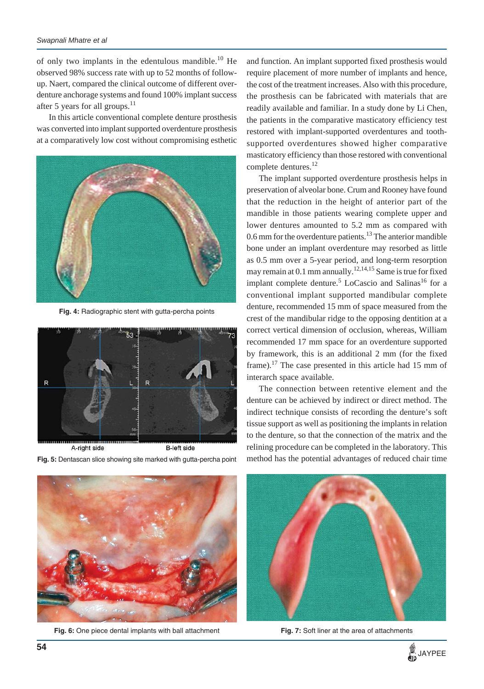#### *Swapnali Mhatre et al*

of only two implants in the edentulous mandible.<sup>10</sup> He observed 98% success rate with up to 52 months of followup. Naert, compared the clinical outcome of different overdenture anchorage systems and found 100% implant success after 5 years for all groups.<sup>11</sup>

In this article conventional complete denture prosthesis was converted into implant supported overdenture prosthesis at a comparatively low cost without compromising esthetic



**Fig. 4:** Radiographic stent with gutta-percha points



A-right side **B-left side Fig. 5:** Dentascan slice showing site marked with gutta-percha point



**Fig. 6:** One piece dental implants with ball attachment

and function. An implant supported fixed prosthesis would require placement of more number of implants and hence, the cost of the treatment increases. Also with this procedure, the prosthesis can be fabricated with materials that are readily available and familiar. In a study done by Li Chen, the patients in the comparative masticatory efficiency test restored with implant-supported overdentures and toothsupported overdentures showed higher comparative masticatory efficiency than those restored with conventional complete dentures.<sup>12</sup>

The implant supported overdenture prosthesis helps in preservation of alveolar bone. Crum and Rooney have found that the reduction in the height of anterior part of the mandible in those patients wearing complete upper and lower dentures amounted to 5.2 mm as compared with 0.6 mm for the overdenture patients.<sup>13</sup> The anterior mandible bone under an implant overdenture may resorbed as little as 0.5 mm over a 5-year period, and long-term resorption may remain at 0.1 mm annually.<sup>12,14,15</sup> Same is true for fixed implant complete denture.<sup>5</sup> LoCascio and Salinas<sup>16</sup> for a conventional implant supported mandibular complete denture, recommended 15 mm of space measured from the crest of the mandibular ridge to the opposing dentition at a correct vertical dimension of occlusion, whereas, William recommended 17 mm space for an overdenture supported by framework, this is an additional 2 mm (for the fixed frame).<sup>17</sup> The case presented in this article had 15 mm of interarch space available.

The connection between retentive element and the denture can be achieved by indirect or direct method. The indirect technique consists of recording the denture's soft tissue support as well as positioning the implants in relation to the denture, so that the connection of the matrix and the relining procedure can be completed in the laboratory. This method has the potential advantages of reduced chair time



**Fig. 7:** Soft liner at the area of attachments

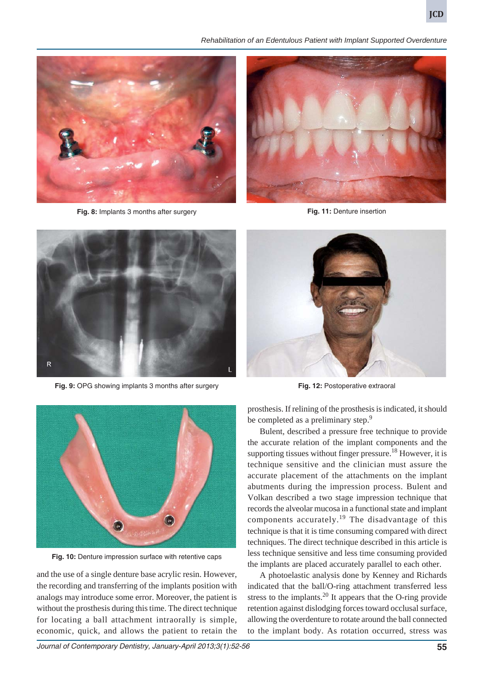*Rehabilitation of an Edentulous Patient with Implant Supported Overdenture*



**Fig. 8:** Implants 3 months after surgery



**Fig. 11:** Denture insertion



**Fig. 9:** OPG showing implants 3 months after surgery



**Fig. 12:** Postoperative extraoral



**Fig. 10:** Denture impression surface with retentive caps

and the use of a single denture base acrylic resin. However, the recording and transferring of the implants position with analogs may introduce some error. Moreover, the patient is without the prosthesis during this time. The direct technique for locating a ball attachment intraorally is simple, economic, quick, and allows the patient to retain the

prosthesis. If relining of the prosthesis is indicated, it should be completed as a preliminary step.<sup>9</sup>

Bulent, described a pressure free technique to provide the accurate relation of the implant components and the supporting tissues without finger pressure.<sup>18</sup> However, it is technique sensitive and the clinician must assure the accurate placement of the attachments on the implant abutments during the impression process. Bulent and Volkan described a two stage impression technique that records the alveolar mucosa in a functional state and implant components accurately.<sup>19</sup> The disadvantage of this technique is that it is time consuming compared with direct techniques. The direct technique described in this article is less technique sensitive and less time consuming provided the implants are placed accurately parallel to each other.

A photoelastic analysis done by Kenney and Richards indicated that the ball/O-ring attachment transferred less stress to the implants.<sup>20</sup> It appears that the O-ring provide retention against dislodging forces toward occlusal surface, allowing the overdenture to rotate around the ball connected to the implant body. As rotation occurred, stress was